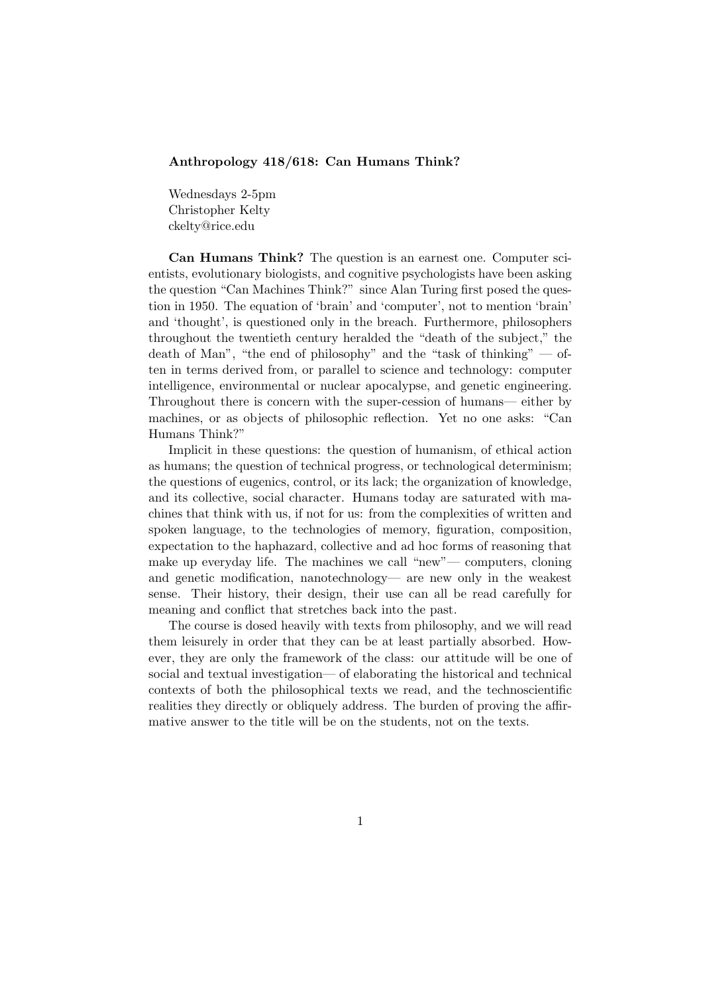## Anthropology 418/618: Can Humans Think?

Wednesdays 2-5pm Christopher Kelty ckelty@rice.edu

Can Humans Think? The question is an earnest one. Computer scientists, evolutionary biologists, and cognitive psychologists have been asking the question "Can Machines Think?" since Alan Turing first posed the question in 1950. The equation of 'brain' and 'computer', not to mention 'brain' and 'thought', is questioned only in the breach. Furthermore, philosophers throughout the twentieth century heralded the "death of the subject," the death of Man", "the end of philosophy" and the "task of thinking" — often in terms derived from, or parallel to science and technology: computer intelligence, environmental or nuclear apocalypse, and genetic engineering. Throughout there is concern with the super-cession of humans— either by machines, or as objects of philosophic reflection. Yet no one asks: "Can Humans Think?"

Implicit in these questions: the question of humanism, of ethical action as humans; the question of technical progress, or technological determinism; the questions of eugenics, control, or its lack; the organization of knowledge, and its collective, social character. Humans today are saturated with machines that think with us, if not for us: from the complexities of written and spoken language, to the technologies of memory, figuration, composition, expectation to the haphazard, collective and ad hoc forms of reasoning that make up everyday life. The machines we call "new"— computers, cloning and genetic modification, nanotechnology— are new only in the weakest sense. Their history, their design, their use can all be read carefully for meaning and conflict that stretches back into the past.

The course is dosed heavily with texts from philosophy, and we will read them leisurely in order that they can be at least partially absorbed. However, they are only the framework of the class: our attitude will be one of social and textual investigation— of elaborating the historical and technical contexts of both the philosophical texts we read, and the technoscientific realities they directly or obliquely address. The burden of proving the affirmative answer to the title will be on the students, not on the texts.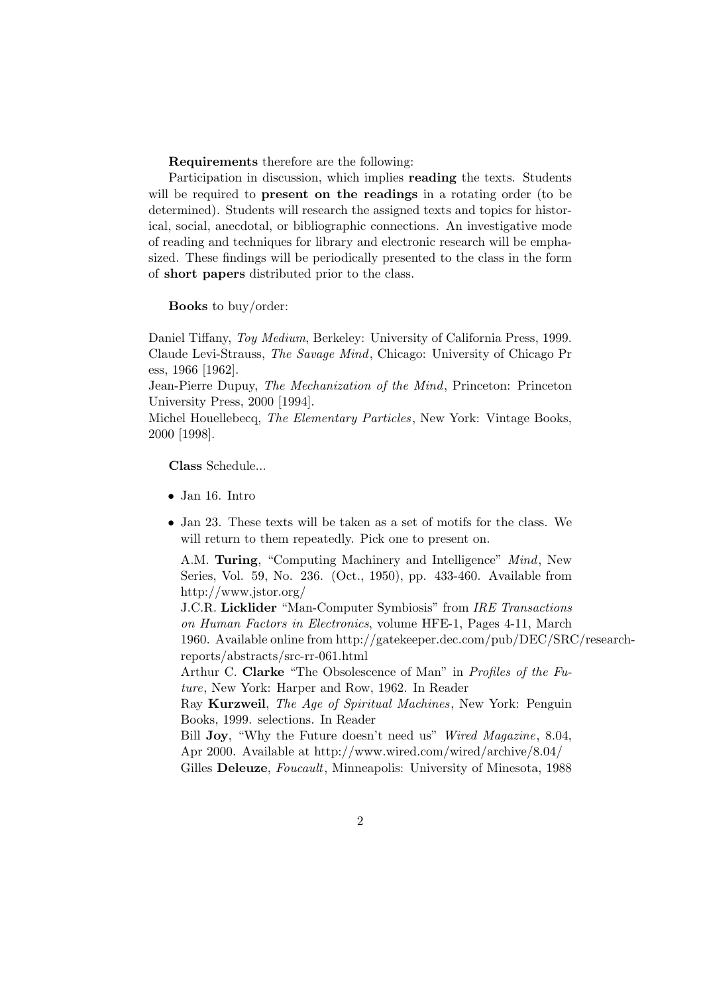Requirements therefore are the following:

Participation in discussion, which implies reading the texts. Students will be required to **present on the readings** in a rotating order (to be determined). Students will research the assigned texts and topics for historical, social, anecdotal, or bibliographic connections. An investigative mode of reading and techniques for library and electronic research will be emphasized. These findings will be periodically presented to the class in the form of short papers distributed prior to the class.

Books to buy/order:

Daniel Tiffany, Toy Medium, Berkeley: University of California Press, 1999. Claude Levi-Strauss, The Savage Mind, Chicago: University of Chicago Pr ess, 1966 [1962].

Jean-Pierre Dupuy, The Mechanization of the Mind, Princeton: Princeton University Press, 2000 [1994].

Michel Houellebecq, The Elementary Particles, New York: Vintage Books, 2000 [1998].

Class Schedule...

- Jan 16. Intro
- Jan 23. These texts will be taken as a set of motifs for the class. We will return to them repeatedly. Pick one to present on.

A.M. Turing, "Computing Machinery and Intelligence" Mind, New Series, Vol. 59, No. 236. (Oct., 1950), pp. 433-460. Available from http://www.jstor.org/

J.C.R. Licklider "Man-Computer Symbiosis" from IRE Transactions on Human Factors in Electronics, volume HFE-1, Pages 4-11, March 1960. Available online from http://gatekeeper.dec.com/pub/DEC/SRC/researchreports/abstracts/src-rr-061.html

Arthur C. Clarke "The Obsolescence of Man" in Profiles of the Future, New York: Harper and Row, 1962. In Reader

Ray Kurzweil, The Age of Spiritual Machines, New York: Penguin Books, 1999. selections. In Reader

Bill **Joy**, "Why the Future doesn't need us" Wired Magazine, 8.04, Apr 2000. Available at http://www.wired.com/wired/archive/8.04/ Gilles Deleuze, Foucault, Minneapolis: University of Minesota, 1988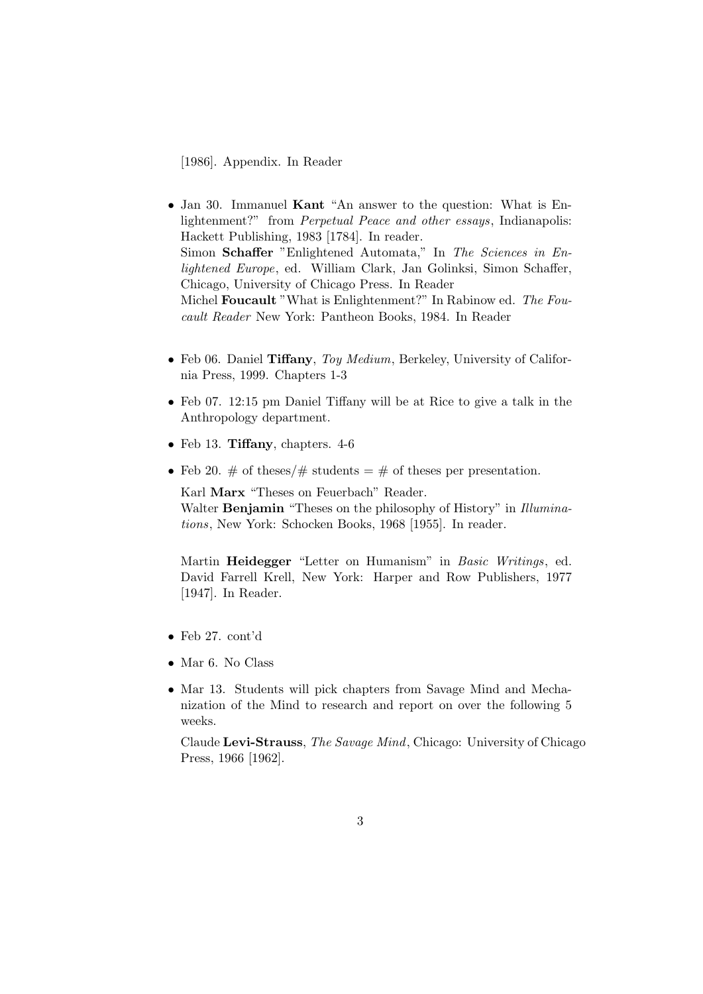[1986]. Appendix. In Reader

- Jan 30. Immanuel Kant "An answer to the question: What is Enlightenment?" from Perpetual Peace and other essays, Indianapolis: Hackett Publishing, 1983 [1784]. In reader. Simon Schaffer "Enlightened Automata," In The Sciences in Enlightened Europe, ed. William Clark, Jan Golinksi, Simon Schaffer, Chicago, University of Chicago Press. In Reader Michel Foucault "What is Enlightenment?" In Rabinow ed. The Foucault Reader New York: Pantheon Books, 1984. In Reader
- Feb 06. Daniel Tiffany, Toy Medium, Berkeley, University of California Press, 1999. Chapters 1-3
- Feb 07. 12:15 pm Daniel Tiffany will be at Rice to give a talk in the Anthropology department.
- Feb 13. Tiffany, chapters. 4-6
- Feb 20.  $\#$  of theses/ $\#$  students =  $\#$  of theses per presentation.

Karl Marx "Theses on Feuerbach" Reader. Walter Benjamin "Theses on the philosophy of History" in Illuminations, New York: Schocken Books, 1968 [1955]. In reader.

Martin Heidegger "Letter on Humanism" in Basic Writings, ed. David Farrell Krell, New York: Harper and Row Publishers, 1977 [1947]. In Reader.

- Feb 27. cont'd
- Mar 6. No Class
- Mar 13. Students will pick chapters from Savage Mind and Mechanization of the Mind to research and report on over the following 5 weeks.

Claude Levi-Strauss, The Savage Mind, Chicago: University of Chicago Press, 1966 [1962].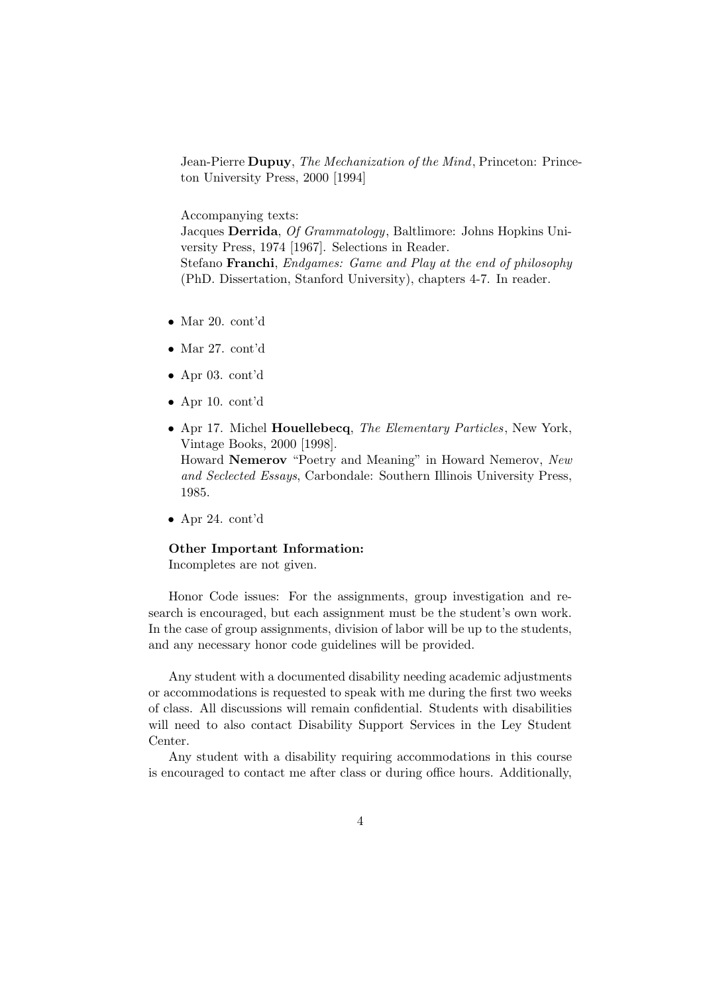Jean-Pierre Dupuy, The Mechanization of the Mind, Princeton: Princeton University Press, 2000 [1994]

Accompanying texts:

Jacques Derrida, Of Grammatology, Baltlimore: Johns Hopkins University Press, 1974 [1967]. Selections in Reader. Stefano Franchi, Endgames: Game and Play at the end of philosophy (PhD. Dissertation, Stanford University), chapters 4-7. In reader.

- Mar 20. cont'd
- Mar 27. cont'd
- Apr 03. cont'd
- Apr 10. cont'd
- Apr 17. Michel Houellebecq, The Elementary Particles, New York, Vintage Books, 2000 [1998].

Howard Nemerov "Poetry and Meaning" in Howard Nemerov, New and Seclected Essays, Carbondale: Southern Illinois University Press, 1985.

• Apr 24. cont'd

## Other Important Information:

Incompletes are not given.

Honor Code issues: For the assignments, group investigation and research is encouraged, but each assignment must be the student's own work. In the case of group assignments, division of labor will be up to the students, and any necessary honor code guidelines will be provided.

Any student with a documented disability needing academic adjustments or accommodations is requested to speak with me during the first two weeks of class. All discussions will remain confidential. Students with disabilities will need to also contact Disability Support Services in the Ley Student Center.

Any student with a disability requiring accommodations in this course is encouraged to contact me after class or during office hours. Additionally,